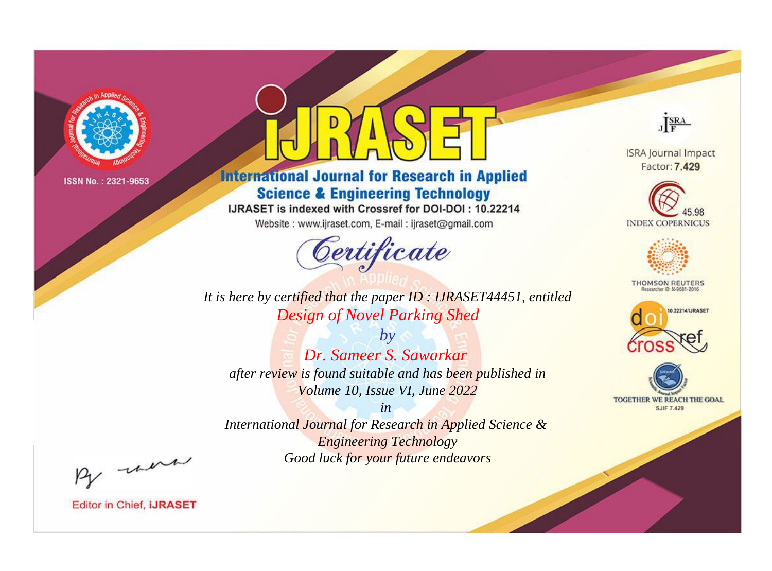

# **International Journal for Research in Applied Science & Engineering Technology**

IJRASET is indexed with Crossref for DOI-DOI: 10.22214

Website: www.ijraset.com, E-mail: ijraset@gmail.com



JERA

**ISRA Journal Impact** Factor: 7.429





**THOMSON REUTERS** 



TOGETHER WE REACH THE GOAL **SJIF 7.429** 

*It is here by certified that the paper ID : IJRASET44451, entitled Design of Novel Parking Shed*

*by Dr. Sameer S. Sawarkar after review is found suitable and has been published in Volume 10, Issue VI, June 2022*

*in* 

*International Journal for Research in Applied Science & Engineering Technology Good luck for your future endeavors*

By morn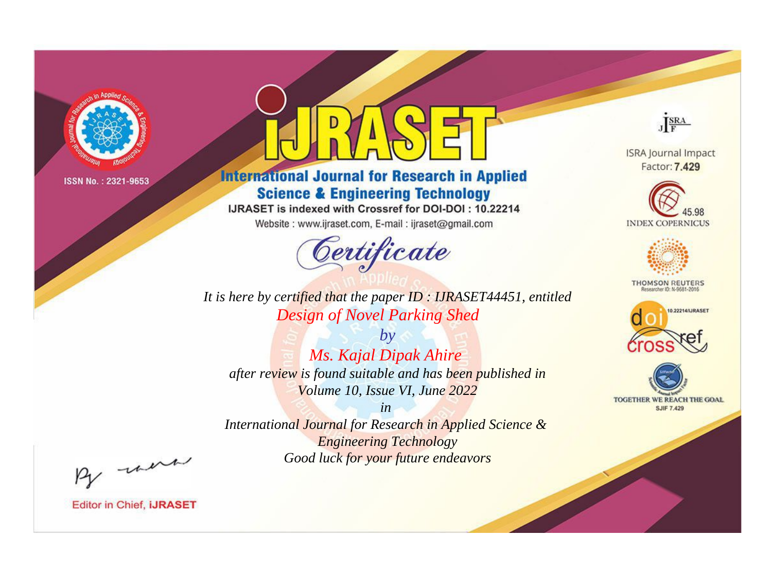

# **International Journal for Research in Applied Science & Engineering Technology**

IJRASET is indexed with Crossref for DOI-DOI: 10.22214

Website: www.ijraset.com, E-mail: ijraset@gmail.com



JERA

**ISRA Journal Impact** Factor: 7.429





**THOMSON REUTERS** 



TOGETHER WE REACH THE GOAL **SJIF 7.429** 

*It is here by certified that the paper ID : IJRASET44451, entitled Design of Novel Parking Shed*

*by Ms. Kajal Dipak Ahire after review is found suitable and has been published in Volume 10, Issue VI, June 2022*

*in* 

*International Journal for Research in Applied Science & Engineering Technology Good luck for your future endeavors*

By morn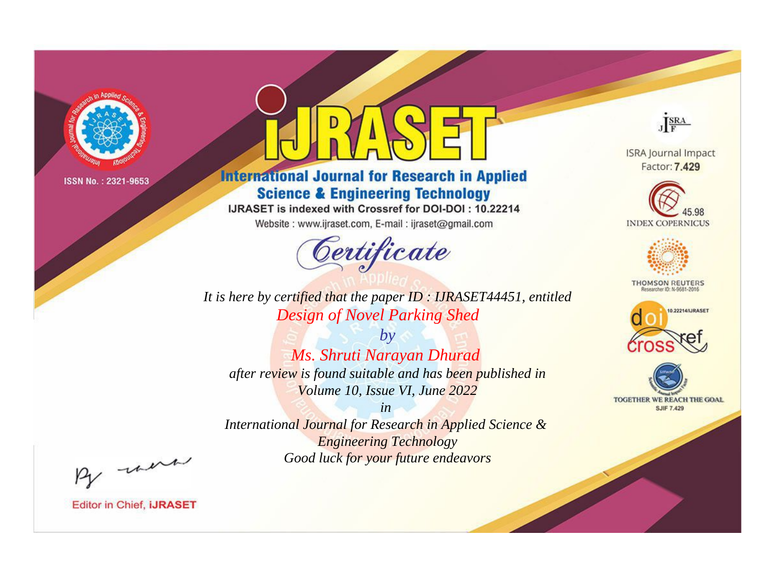

# **International Journal for Research in Applied Science & Engineering Technology**

IJRASET is indexed with Crossref for DOI-DOI: 10.22214

Website: www.ijraset.com, E-mail: ijraset@gmail.com



JERA

**ISRA Journal Impact** Factor: 7.429





**THOMSON REUTERS** 



TOGETHER WE REACH THE GOAL **SJIF 7.429** 

*It is here by certified that the paper ID : IJRASET44451, entitled Design of Novel Parking Shed*

*by Ms. Shruti Narayan Dhurad after review is found suitable and has been published in Volume 10, Issue VI, June 2022*

*in* 

*International Journal for Research in Applied Science & Engineering Technology Good luck for your future endeavors*

By morn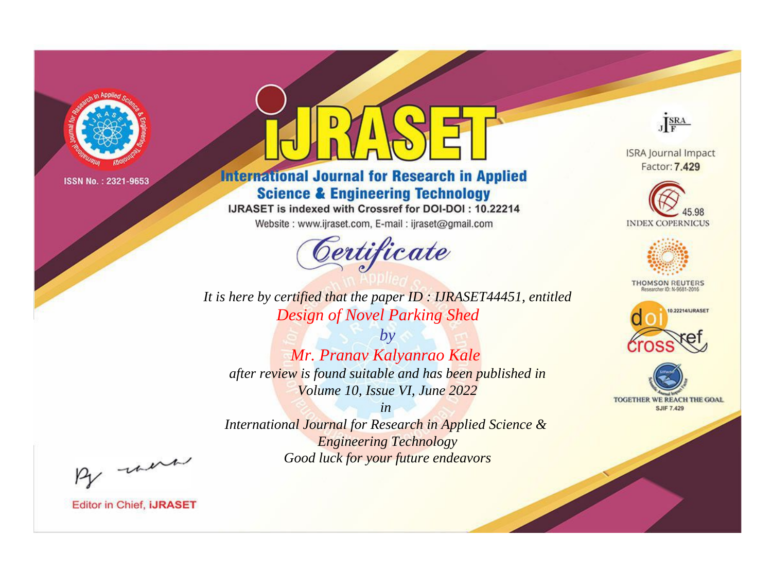

# **International Journal for Research in Applied Science & Engineering Technology**

IJRASET is indexed with Crossref for DOI-DOI: 10.22214

Website: www.ijraset.com, E-mail: ijraset@gmail.com



JERA

**ISRA Journal Impact** Factor: 7.429





**THOMSON REUTERS** 



TOGETHER WE REACH THE GOAL **SJIF 7.429** 

*It is here by certified that the paper ID : IJRASET44451, entitled Design of Novel Parking Shed*

*by Mr. Pranav Kalyanrao Kale after review is found suitable and has been published in Volume 10, Issue VI, June 2022*

*in* 

*International Journal for Research in Applied Science & Engineering Technology Good luck for your future endeavors*

By morn